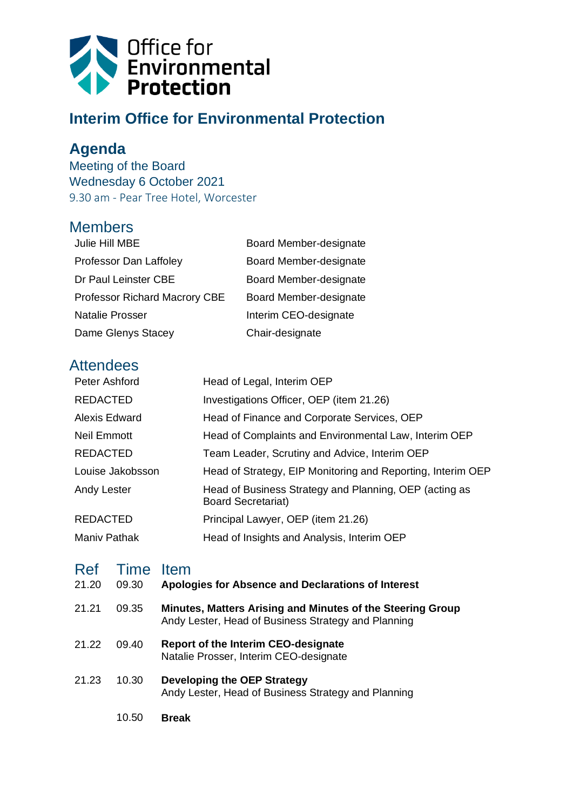

## **Interim Office for Environmental Protection**

## **Agenda**

Meeting of the Board Wednesday 6 October 2021 9.30 am - Pear Tree Hotel, Worcester

## **Members**

| Julie Hill MBE                | Board Member-designate |
|-------------------------------|------------------------|
| Professor Dan Laffoley        | Board Member-designate |
| Dr Paul Leinster CBE          | Board Member-designate |
| Professor Richard Macrory CBE | Board Member-designate |
| <b>Natalie Prosser</b>        | Interim CEO-designate  |
| Dame Glenys Stacey            | Chair-designate        |

## **Attendees**

| Peter Ashford       | Head of Legal, Interim OEP                                                          |
|---------------------|-------------------------------------------------------------------------------------|
| <b>REDACTED</b>     | Investigations Officer, OEP (item 21.26)                                            |
| Alexis Edward       | Head of Finance and Corporate Services, OEP                                         |
| Neil Emmott         | Head of Complaints and Environmental Law, Interim OEP                               |
| <b>REDACTED</b>     | Team Leader, Scrutiny and Advice, Interim OEP                                       |
| Louise Jakobsson    | Head of Strategy, EIP Monitoring and Reporting, Interim OEP                         |
| Andy Lester         | Head of Business Strategy and Planning, OEP (acting as<br><b>Board Secretariat)</b> |
| <b>REDACTED</b>     | Principal Lawyer, OEP (item 21.26)                                                  |
| <b>Maniv Pathak</b> | Head of Insights and Analysis, Interim OEP                                          |

| Ref<br>21.20 | Time<br>09.30 | <b>Item</b><br>Apologies for Absence and Declarations of Interest                                                 |
|--------------|---------------|-------------------------------------------------------------------------------------------------------------------|
| 21.21        | 09.35         | Minutes, Matters Arising and Minutes of the Steering Group<br>Andy Lester, Head of Business Strategy and Planning |
| 21.22        | 09.40         | <b>Report of the Interim CEO-designate</b><br>Natalie Prosser, Interim CEO-designate                              |
| 21.23        | 10.30         | Developing the OEP Strategy<br>Andy Lester, Head of Business Strategy and Planning                                |
|              | 10.50         | <b>Break</b>                                                                                                      |